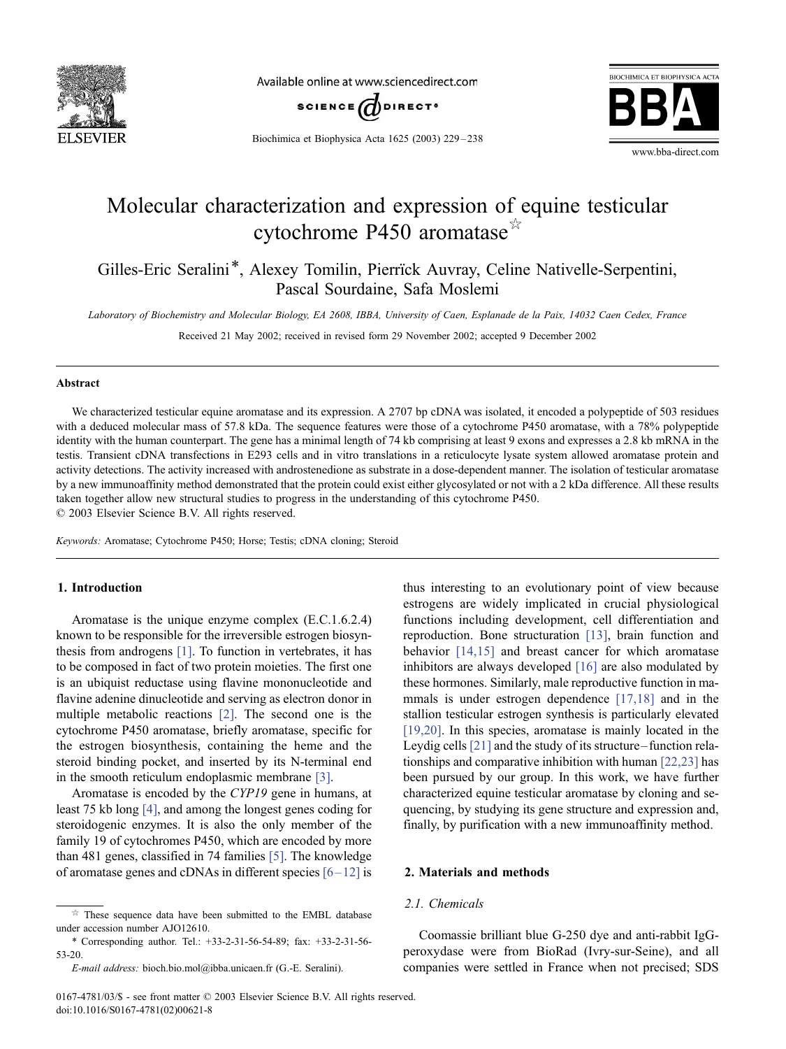

Available online at www.sciencedirect.com





Biochimica et Biophysica Acta 1625 (2003) 229 – 238

# Molecular characterization and expression of equine testicular cytochrome P450 aromatase $\mathbb{R}$

Gilles-Eric Seralini\*, Alexey Tomilin, Pierrïck Auvray, Celine Nativelle-Serpentini, Pascal Sourdaine, Safa Moslemi

Laboratory of Biochemistry and Molecular Biology, EA 2608, IBBA, University of Caen, Esplanade de la Paix, 14032 Caen Cedex, France

Received 21 May 2002; received in revised form 29 November 2002; accepted 9 December 2002

### Abstract

We characterized testicular equine aromatase and its expression. A 2707 bp cDNA was isolated, it encoded a polypeptide of 503 residues with a deduced molecular mass of 57.8 kDa. The sequence features were those of a cytochrome P450 aromatase, with a 78% polypeptide identity with the human counterpart. The gene has a minimal length of 74 kb comprising at least 9 exons and expresses a 2.8 kb mRNA in the testis. Transient cDNA transfections in E293 cells and in vitro translations in a reticulocyte lysate system allowed aromatase protein and activity detections. The activity increased with androstenedione as substrate in a dose-dependent manner. The isolation of testicular aromatase by a new immunoaffinity method demonstrated that the protein could exist either glycosylated or not with a 2 kDa difference. All these results taken together allow new structural studies to progress in the understanding of this cytochrome P450.  $© 2003 Elsevier Science B.V. All rights reserved.$ 

Keywords: Aromatase; Cytochrome P450; Horse; Testis; cDNA cloning; Steroid

# 1. Introduction

Aromatase is the unique enzyme complex (E.C.1.6.2.4) known to be responsible for the irreversible estrogen biosynthesis from androgens [\[1\].](#page-8-0) To function in vertebrates, it has to be composed in fact of two protein moieties. The first one is an ubiquist reductase using flavine mononucleotide and flavine adenine dinucleotide and serving as electron donor in multiple metabolic reactions [\[2\].](#page-8-0) The second one is the cytochrome P450 aromatase, briefly aromatase, specific for the estrogen biosynthesis, containing the heme and the steroid binding pocket, and inserted by its N-terminal end in the smooth reticulum endoplasmic membrane [\[3\].](#page-8-0)

Aromatase is encoded by the CYP19 gene in humans, at least 75 kb long [\[4\],](#page-8-0) and among the longest genes coding for steroidogenic enzymes. It is also the only member of the family 19 of cytochromes P450, which are encoded by more than 481 genes, classified in 74 families [\[5\].](#page-8-0) The knowledge of aromatase genes and cDNAs in different species  $[6-12]$  is

thus interesting to an evolutionary point of view because estrogens are widely implicated in crucial physiological functions including development, cell differentiation and reproduction. Bone structuration [\[13\],](#page-8-0) brain function and behavior [\[14,15\]](#page-9-0) and breast cancer for which aromatase inhibitors are always developed [\[16\]](#page-9-0) are also modulated by these hormones. Similarly, male reproductive function in ma-mmals is under estrogen dependence [\[17,18\]](#page-9-0) and in the stallion testicular estrogen synthesis is particularly elevated [\[19,20\].](#page-9-0) In this species, aromatase is mainly located in the Leydig cells [\[21\]](#page-9-0) and the study of its structure – function relationships and comparative inhibition with human [\[22,23\]](#page-9-0) has been pursued by our group. In this work, we have further characterized equine testicular aromatase by cloning and sequencing, by studying its gene structure and expression and, finally, by purification with a new immunoaffinity method.

# 2. Materials and methods

## 2.1. Chemicals

Coomassie brilliant blue G-250 dye and anti-rabbit IgGperoxydase were from BioRad (Ivry-sur-Seine), and all companies were settled in France when not precised; SDS

 $*$  These sequence data have been submitted to the EMBL database under accession number AJO12610.

<sup>\*</sup> Corresponding author. Tel.: +33-2-31-56-54-89; fax: +33-2-31-56- 53-20.

E-mail address: bioch.bio.mol@ibba.unicaen.fr (G.-E. Seralini).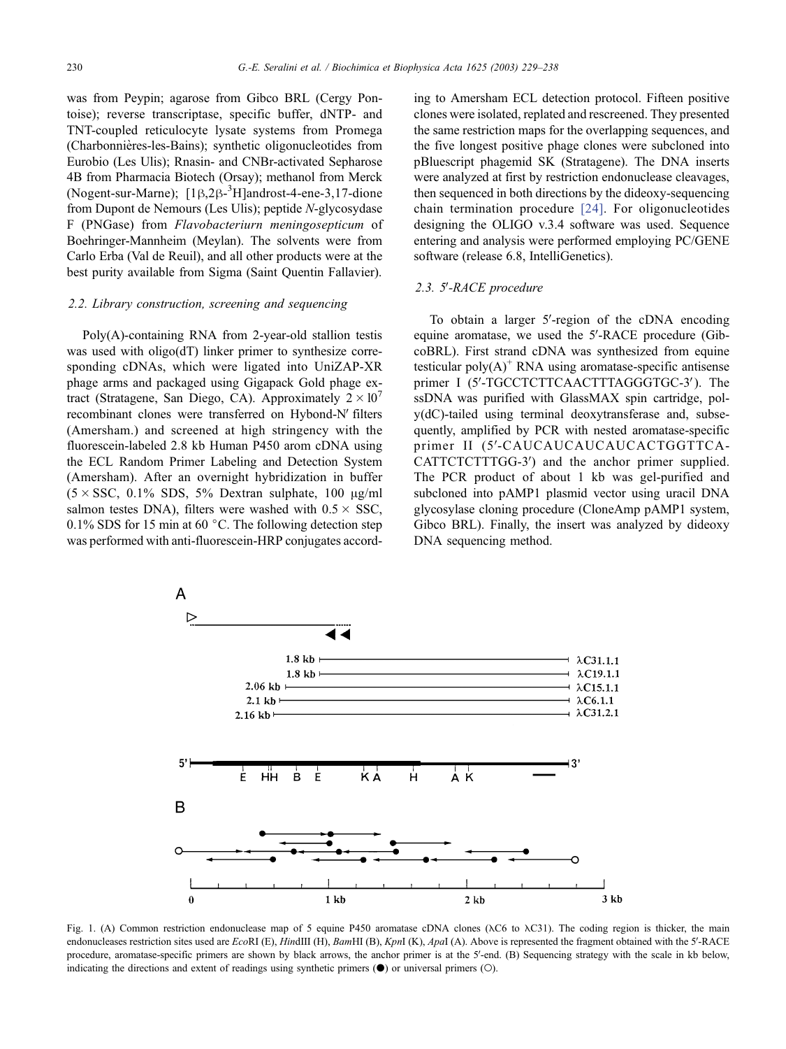<span id="page-1-0"></span>was from Peypin; agarose from Gibco BRL (Cergy Pontoise); reverse transcriptase, specific buffer, dNTP- and TNT-coupled reticulocyte lysate systems from Promega (Charbonnières-les-Bains); synthetic oligonucleotides from Eurobio (Les Ulis); Rnasin- and CNBr-activated Sepharose 4B from Pharmacia Biotech (Orsay); methanol from Merck (Nogent-sur-Marne);  $[1\beta, 2\beta^{-3}H]$ androst-4-ene-3,17-dione from Dupont de Nemours (Les Ulis); peptide N-glycosydase F (PNGase) from Flavobacteriurn meningosepticum of Boehringer-Mannheim (Meylan). The solvents were from Carlo Erba (Val de Reuil), and all other products were at the best purity available from Sigma (Saint Quentin Fallavier).

# 2.2. Library construction, screening and sequencing

Poly(A)-containing RNA from 2-year-old stallion testis was used with oligo(dT) linker primer to synthesize corresponding cDNAs, which were ligated into UniZAP-XR phage arms and packaged using Gigapack Gold phage extract (Stratagene, San Diego, CA). Approximately  $2 \times 10^{7}$ recombinant clones were transferred on Hybond-N' filters (Amersham.) and screened at high stringency with the fluorescein-labeled 2.8 kb Human P450 arom cDNA using the ECL Random Primer Labeling and Detection System (Amersham). After an overnight hybridization in buffer  $(5 \times SSC, 0.1\% SDS, 5\%$  Dextran sulphate, 100  $\mu$ g/ml salmon testes DNA), filters were washed with  $0.5 \times$  SSC. 0.1% SDS for 15 min at 60  $^{\circ}$ C. The following detection step was performed with anti-fluorescein-HRP conjugates according to Amersham ECL detection protocol. Fifteen positive clones were isolated, replated and rescreened. They presented the same restriction maps for the overlapping sequences, and the five longest positive phage clones were subcloned into pBluescript phagemid SK (Stratagene). The DNA inserts were analyzed at first by restriction endonuclease cleavages, then sequenced in both directions by the dideoxy-sequencing chain termination procedure [\[24\].](#page-9-0) For oligonucleotides designing the OLIGO v.3.4 software was used. Sequence entering and analysis were performed employing PC/GENE software (release 6.8, IntelliGenetics).

# 2.3. 5'-RACE procedure

To obtain a larger 5'-region of the cDNA encoding equine aromatase, we used the 5'-RACE procedure (GibcoBRL). First strand cDNA was synthesized from equine testicular  $poly(A)^+$  RNA using aromatase-specific antisense primer I (5'-TGCCTCTTCAACTTTAGGGTGC-3'). The ssDNA was purified with GlassMAX spin cartridge, poly(dC)-tailed using terminal deoxytransferase and, subsequently, amplified by PCR with nested aromatase-specific primer II (5'-CAUCAUCAUCAUCACTGGTTCA-CATTCTCTTTGG-3') and the anchor primer supplied. The PCR product of about 1 kb was gel-purified and subcloned into pAMP1 plasmid vector using uracil DNA glycosylase cloning procedure (CloneAmp pAMP1 system, Gibco BRL). Finally, the insert was analyzed by dideoxy DNA sequencing method.



Fig. 1. (A) Common restriction endonuclease map of 5 equine P450 aromatase cDNA clones ( $\lambda$ C6 to  $\lambda$ C31). The coding region is thicker, the main endonucleases restriction sites used are EcoRI (E), HindIII (H), BamHI (B), KpnI (K), ApaI (A). Above is represented the fragment obtained with the 5'-RACE procedure, aromatase-specific primers are shown by black arrows, the anchor primer is at the 5V-end. (B) Sequencing strategy with the scale in kb below, indicating the directions and extent of readings using synthetic primers  $($ O $)$  or universal primers  $($ O $)$ .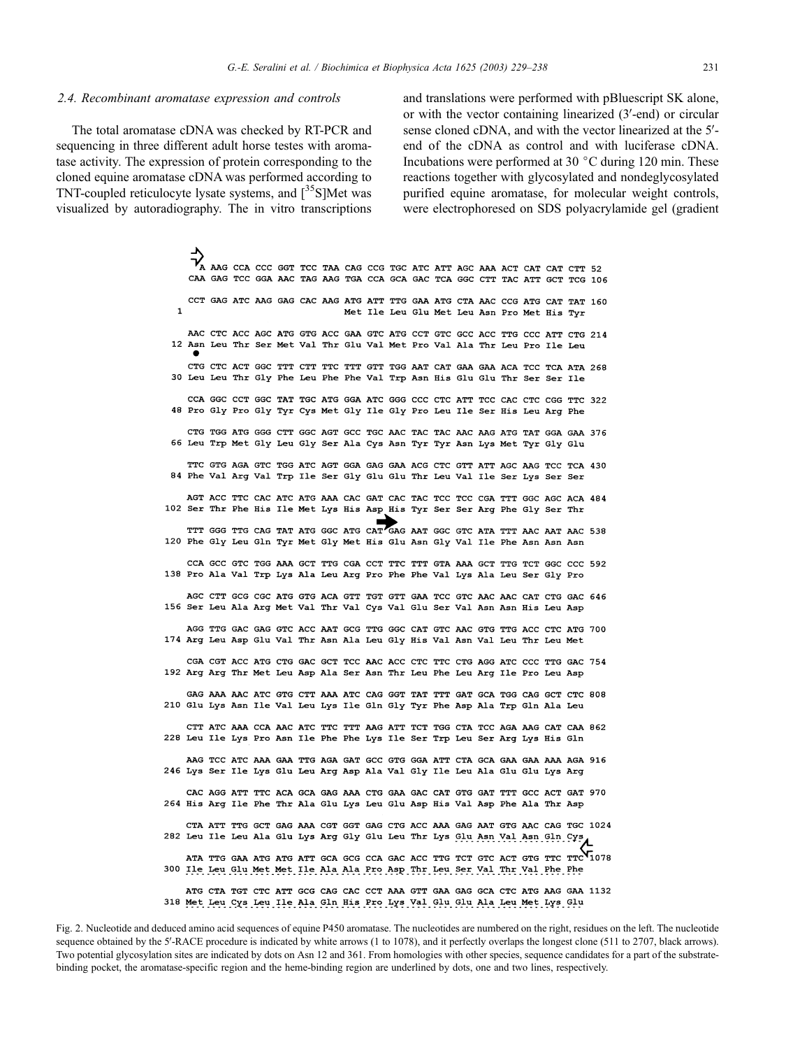#### <span id="page-2-0"></span>2.4. Recombinant aromatase expression and controls

The total aromatase cDNA was checked by RT-PCR and sequencing in three different adult horse testes with aromatase activity. The expression of protein corresponding to the cloned equine aromatase cDNA was performed according to TNT-coupled reticulocyte lysate systems, and  $\int^{35}S$ ]Met was visualized by autoradiography. The in vitro transcriptions and translations were performed with pBluescript SK alone, or with the vector containing linearized  $(3'$ -end) or circular sense cloned cDNA, and with the vector linearized at the 5'end of the cDNA as control and with luciferase cDNA. Incubations were performed at 30  $\degree$ C during 120 min. These reactions together with glycosylated and nondeglycosylated purified equine aromatase, for molecular weight controls, were electrophoresed on SDS polyacrylamide gel (gradient

 $\rightarrow$ <br>TA AAG CCA CCC GGT TCC TAA CAG CCG TGC ATC ATT AGC AAA ACT CAT CAT CTT 52<br>CAA GAG TCC GGA AAC TAG AAG TGA CCA GAC GAC TCA GGC CTT TAC ATT GCT TCG 10 CAA GAG TCC GGA AAC TAG AAG TGA CCA GCA GAC TCA GGC CTT TAC ATT GCT TCG 106 CCT GAG ATC AAG GAG CAC AAG ATG ATT TTG GAA ATG CTA AAC CCG ATG CAT TAT 160  $\mathbf{I}$ Met Ile Leu Glu Met Leu Asn Pro Met His Tyr AAC CTC ACC AGC ATG GTG ACC GAA GTC ATG CCT GTC GCC ACC TTG CCC ATT CTG 214 12 Asn Leu Thr Ser Met Val Thr Glu Val Met Pro Val Ala Thr Leu Pro Ile Leu CTG CTC ACT GGC TTT CTT TTC TTT GTT TGG AAT CAT GAA GAA ACA TCC TCA ATA 268 30 Leu Leu Thr Gly Phe Leu Phe Phe Val Trp Asn His Glu Glu Thr Ser Ser Ile CCA GGC CCT GGC TAT TGC ATG GGA ATC GGG CCC CTC ATT TCC CAC CTC CGG TTC 322 48 Pro Gly Pro Gly Tyr Cys Met Gly Ile Gly Pro Leu Ile Ser His Leu Arg Phe CTG TGG ATG GGG CTT GGC AGT GCC TGC AAC TAC TAC AAC AAG ATG TAT GGA GAA 376 66 Leu Trp Met Gly Leu Gly Ser Ala Cys Asn Tyr Tyr Asn Lys Met Tyr Gly Glu TTC GTG AGA GTC TGG ATC AGT GGA GAG GAA ACG CTC GTT ATT AGC AAG TCC TCA 430 84 Phe Val Arg Val Trp Ile Ser Gly Glu Glu Thr Leu Val Ile Ser Lys Ser Ser AGT ACC TTC CAC ATC ATG AAA CAC GAT CAC TAC TCC TCC CGA TTT GGC AGC ACA 484 102 Ser Thr Phe His Ile Met Lys His Asp His Tyr Ser Ser Arg Phe Gly Ser Thr TTT GGG TTG CAG TAT ATG GGC ATG CAT GAG AAT GGC GTC ATA TTT AAC AAT AAC 538 120 Phe Gly Leu Gln Tyr Met Gly Met His Glu Asn Gly Val Ile Phe Asn Asn Asn CCA GCC GTC TGG AAA GCT TTG CGA CCT TTC TTT GTA AAA GCT TTG TCT GGC CCC 592 138 Pro Ala Val Trp Lys Ala Leu Arg Pro Phe Phe Val Lys Ala Leu Ser Gly Pro AGC CTT GCG CGC ATG GTG ACA GTT TGT GTT GAA TCC GTC AAC AAC CAT CTG GAC 646 156 Ser Leu Ala Arg Met Val Thr Val Cys Val Glu Ser Val Asn Asn His Leu Asp AGG TTG GAC GAG GTC ACC AAT GCG TTG GGC CAT GTC AAC GTG TTG ACC CTC ATG 700 174 Arg Leu Asp Glu Val Thr Asn Ala Leu Gly His Val Asn Val Leu Thr Leu Met CGA CGT ACC ATG CTG GAC GCT TCC AAC ACC CTC TTC CTG AGG ATC CCC TTG GAC 754 192 Arg Arg Thr Met Leu Asp Ala Ser Asn Thr Leu Phe Leu Arg Ile Pro Leu Asp GAG AAA AAC ATC GTG CTT AAA ATC CAG GGT TAT TTT GAT GCA TGG CAG GCT CTC 808 210 Glu Lys Asn Ile Val Leu Lys Ile Gln Gly Tyr Phe Asp Ala Trp Gln Ala Leu CTT ATC AAA CCA AAC ATC TTC TTT AAG ATT TCT TGG CTA TCC AGA AAG CAT CAA 862 228 Leu Ile Lys Pro Asn Ile Phe Phe Lys Ile Ser Trp Leu Ser Arg Lys His Gln AAG TCC ATC AAA GAA TTG AGA GAT GCC GTG GGA ATT CTA GCA GAA GAA AAA AGA 916 246 Lys Ser Ile Lys Glu Leu Arg Asp Ala Val Gly Ile Leu Ala Glu Glu Lys Arg CAC AGG ATT TTC ACA GCA GAG AAA CTG GAA GAC CAT GTG GAT TTT GCC ACT GAT 970 264 His Arg Ile Phe Thr Ala Glu Lys Leu Glu Asp His Val Asp Phe Ala Thr Asp CTA ATT TTG GCT GAG AAA CGT GGT GAG CTG ACC AAA GAG AAT GTG AAC CAG TGC 1024 282 Leu Ile Leu Ala Glu Lys Arg Gly Glu Leu Thr Lys Glu Asn Val Asn Gln Cys ATA TTG GAA ATG ATG ATT GCA GCG CCA GAC ACC TTG TCT GTC ACT GTG TTC TTC  $Y_{1078}$ 300 Ile Leu Glu Met Met Ile Ala Ala Pro Asp Thr Leu Ser Val Thr Val Phe Phe ATG CTA TGT CTC ATT GCG CAG CAC CCT AAA GTT GAA GAG GCA CTC ATG AAG GAA 1132 318 Met Leu Cys Leu Ile Ala Gln His Pro Lys Val Glu Glu Ala Leu Met Lys Glu

Fig. 2. Nucleotide and deduced amino acid sequences of equine P450 aromatase. The nucleotides are numbered on the right, residues on the left. The nucleotide sequence obtained by the 5'-RACE procedure is indicated by white arrows (1 to 1078), and it perfectly overlaps the longest clone (511 to 2707, black arrows). Two potential glycosylation sites are indicated by dots on Asn 12 and 361. From homologies with other species, sequence candidates for a part of the substratebinding pocket, the aromatase-specific region and the heme-binding region are underlined by dots, one and two lines, respectively.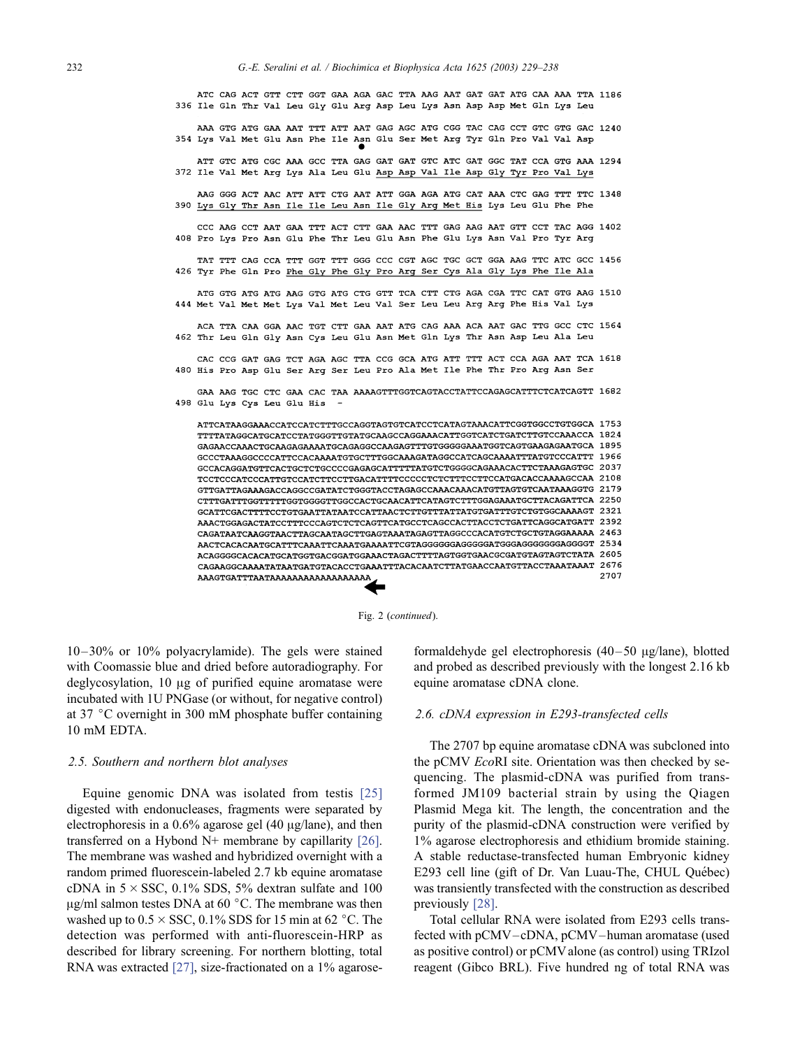|  |  |                                                                             |        |  |  |  |  |  | ATC CAG ACT GTT CTT GGT GAA AGA GAC TTA AAG AAT GAT GAT ATG CAA AAA TTA 1186 |
|--|--|-----------------------------------------------------------------------------|--------|--|--|--|--|--|------------------------------------------------------------------------------|
|  |  | 336 Ile Gln Thr Val Leu Gly Glu Arg Asp Leu Lys Asn Asp Asp Met Gln Lys Leu |        |  |  |  |  |  |                                                                              |
|  |  |                                                                             |        |  |  |  |  |  |                                                                              |
|  |  |                                                                             |        |  |  |  |  |  | AAA GTG ATG GAA AAT TTT ATT AAT GAG AGC ATG CGG TAC CAG CCT GTC GTG GAC 1240 |
|  |  | 354 Lys Val Met Glu Asn Phe Ile Asn Glu Ser Met Arg Tyr Gln Pro Val Val Asp |        |  |  |  |  |  |                                                                              |
|  |  |                                                                             |        |  |  |  |  |  |                                                                              |
|  |  |                                                                             |        |  |  |  |  |  | ATT GTC ATG CGC AAA GCC TTA GAG GAT GAT GTC ATC GAT GGC TAT CCA GTG AAA 1294 |
|  |  | 372 Ile Val Met Arg Lys Ala Leu Glu Asp Asp Val Ile Asp Gly Tyr Pro Val Lys |        |  |  |  |  |  |                                                                              |
|  |  |                                                                             |        |  |  |  |  |  |                                                                              |
|  |  |                                                                             |        |  |  |  |  |  | AAG GGG ACT AAC ATT ATT CTG AAT ATT GGA AGA ATG CAT AAA CTC GAG TTT TTC 1348 |
|  |  | 390 Lys Gly Thr Asn Ile Ile Leu Asn Ile Gly Arq Met His Lys Leu Glu Phe Phe |        |  |  |  |  |  |                                                                              |
|  |  |                                                                             |        |  |  |  |  |  |                                                                              |
|  |  |                                                                             |        |  |  |  |  |  | CCC AAG CCT AAT GAA TTT ACT CTT GAA AAC TTT GAG AAG AAT GTT CCT TAC AGG 1402 |
|  |  | 408 Pro Lys Pro Asn Glu Phe Thr Leu Glu Asn Phe Glu Lys Asn Val Pro Tyr Arg |        |  |  |  |  |  |                                                                              |
|  |  |                                                                             |        |  |  |  |  |  |                                                                              |
|  |  |                                                                             |        |  |  |  |  |  | TAT TTT CAG CCA TTT GGT TTT GGG CCC CGT AGC TGC GCT GGA AAG TTC ATC GCC 1456 |
|  |  | 426 Tyr Phe Gln Pro Phe Gly Phe Gly Pro Arg Ser Cys Ala Gly Lys Phe Ile Ala |        |  |  |  |  |  |                                                                              |
|  |  |                                                                             |        |  |  |  |  |  |                                                                              |
|  |  |                                                                             |        |  |  |  |  |  | ATG GTG ATG ATG AAG GTG ATG CTG GTT TCA CTT CTG AGA CGA TTC CAT GTG AAG 1510 |
|  |  | 444 Met Val Met Met Lys Val Met Leu Val Ser Leu Leu Arg Arg Phe His Val Lys |        |  |  |  |  |  |                                                                              |
|  |  |                                                                             |        |  |  |  |  |  |                                                                              |
|  |  |                                                                             |        |  |  |  |  |  | ACA TTA CAA GGA AAC TGT CTT GAA AAT ATG CAG AAA ACA AAT GAC TTG GCC CTC 1564 |
|  |  | 462 Thr Leu Gln Gly Asn Cys Leu Glu Asn Met Gln Lys Thr Asn Asp Leu Ala Leu |        |  |  |  |  |  |                                                                              |
|  |  |                                                                             |        |  |  |  |  |  | CAC CCG GAT GAG TCT AGA AGC TTA CCG GCA ATG ATT TTT ACT CCA AGA AAT TCA 1618 |
|  |  | 480 His Pro Asp Glu Ser Arg Ser Leu Pro Ala Met Ile Phe Thr Pro Arg Asn Ser |        |  |  |  |  |  |                                                                              |
|  |  |                                                                             |        |  |  |  |  |  |                                                                              |
|  |  |                                                                             |        |  |  |  |  |  | GAA AAG TGC CTC GAA CAC TAA AAAAGTTTGGTCAGTACCTATTCCAGAGCATTTCTCATCAGTT 1682 |
|  |  | 498 Glu Lys Cys Leu Glu His                                                 | $\sim$ |  |  |  |  |  |                                                                              |
|  |  |                                                                             |        |  |  |  |  |  |                                                                              |
|  |  |                                                                             |        |  |  |  |  |  | ATTCATAAGGAAACCATCCATCTTTGCCAGGTAGTGTCATCCTCATAGTAAACATTCGGTGGCCTGTGGCA 1753 |
|  |  |                                                                             |        |  |  |  |  |  | TTTTATAGGCATGCATCCTATGGGTTGTATGCAAGCCAGGAAACATTGGTCATCTGATCTTGTCCAAACCA 1824 |
|  |  |                                                                             |        |  |  |  |  |  | GAGAACCAAACTGCAAGAGAAAATGCAGAGGCCAAGAGTTTGTGGGGAAATGGTCAGTGAAGAGAATGCA 1895  |
|  |  |                                                                             |        |  |  |  |  |  | GCCCTAAAGGCCCCATTCCACAAAATGTGCTTTGGCAAAGATAGGCCATCAGCAAAATTTATGTCCCATTT 1966 |
|  |  |                                                                             |        |  |  |  |  |  | GCCACAGGATGTTCACTGCTCTGCCCCGAGAGCATTTTTATGTCTGGGGCAGAAACACTTCTAAAGAGTGC 2037 |
|  |  |                                                                             |        |  |  |  |  |  |                                                                              |
|  |  |                                                                             |        |  |  |  |  |  |                                                                              |
|  |  |                                                                             |        |  |  |  |  |  | CTTTGATTTGGTTTTTGGTGGGGTTGGCCACTGCAACATTCATAGTCTTTGGAGAAATGCTTACAGATTCA 2250 |
|  |  |                                                                             |        |  |  |  |  |  | GCATTCGACTTTTCCTGTGAATTATAATCCATTAACTCTTGTTTATTATGTGATTTGTCTGTGGCAAAAGT 2321 |
|  |  |                                                                             |        |  |  |  |  |  | AAACTGGAGACTATCCTTTCCCAGTCTCTCAGTTCATGCCTCAGCCACTTACCTCTGATTCAGGCATGATT 2392 |
|  |  |                                                                             |        |  |  |  |  |  | CAGATAATCAAGGTAACTTAGCAATAGCTTGAGTAAATAGAGTTAGGCCCACATGTCTGTGTAGGAAAAA 2463  |
|  |  |                                                                             |        |  |  |  |  |  | AACTCACACAATGCATTTCAAATTCAAAATTCGTAGGGGGGAGGGGATGGGAGGGGGAGGGGT 2534         |
|  |  |                                                                             |        |  |  |  |  |  | ACAGGGGCACACATGCATGGTGACGGATGGAAACTAGACTTTTAGTGGTGAACGCGATGTAGTAGTCTATA 2605 |
|  |  |                                                                             |        |  |  |  |  |  |                                                                              |
|  |  | AAAGTGATTTAATAAAAAAAAAAAAAAAAAA                                             |        |  |  |  |  |  | 2707                                                                         |
|  |  |                                                                             |        |  |  |  |  |  |                                                                              |



10 –30% or 10% polyacrylamide). The gels were stained with Coomassie blue and dried before autoradiography. For deglycosylation, 10 µg of purified equine aromatase were incubated with 1U PNGase (or without, for negative control) at 37 °C overnight in 300 mM phosphate buffer containing 10 mM EDTA.

# 2.5. Southern and northern blot analyses

Equine genomic DNA was isolated from testis [\[25\]](#page-9-0) digested with endonucleases, fragments were separated by electrophoresis in a  $0.6\%$  agarose gel (40  $\mu$ g/lane), and then transferred on a Hybond N+ membrane by capillarity [\[26\].](#page-9-0) The membrane was washed and hybridized overnight with a random primed fluorescein-labeled 2.7 kb equine aromatase cDNA in  $5 \times$  SSC, 0.1% SDS, 5% dextran sulfate and 100  $\mu$ g/ml salmon testes DNA at 60 °C. The membrane was then washed up to  $0.5 \times$  SSC,  $0.1\%$  SDS for 15 min at 62 °C. The detection was performed with anti-fluorescein-HRP as described for library screening. For northern blotting, total RNA was extracted [\[27\],](#page-9-0) size-fractionated on a 1% agaroseformaldehyde gel electrophoresis  $(40-50 \text{ µg}/\text{lane})$ , blotted and probed as described previously with the longest 2.16 kb equine aromatase cDNA clone.

# 2.6. cDNA expression in E293-transfected cells

The 2707 bp equine aromatase cDNA was subcloned into the pCMV EcoRI site. Orientation was then checked by sequencing. The plasmid-cDNA was purified from transformed JM109 bacterial strain by using the Qiagen Plasmid Mega kit. The length, the concentration and the purity of the plasmid-cDNA construction were verified by 1% agarose electrophoresis and ethidium bromide staining. A stable reductase-transfected human Embryonic kidney E293 cell line (gift of Dr. Van Luau-The, CHUL Québec) was transiently transfected with the construction as described previously [\[28\].](#page-9-0)

Total cellular RNA were isolated from E293 cells transfected with pCMV –cDNA, pCMV –human aromatase (used as positive control) or pCMV alone (as control) using TRIzol reagent (Gibco BRL). Five hundred ng of total RNA was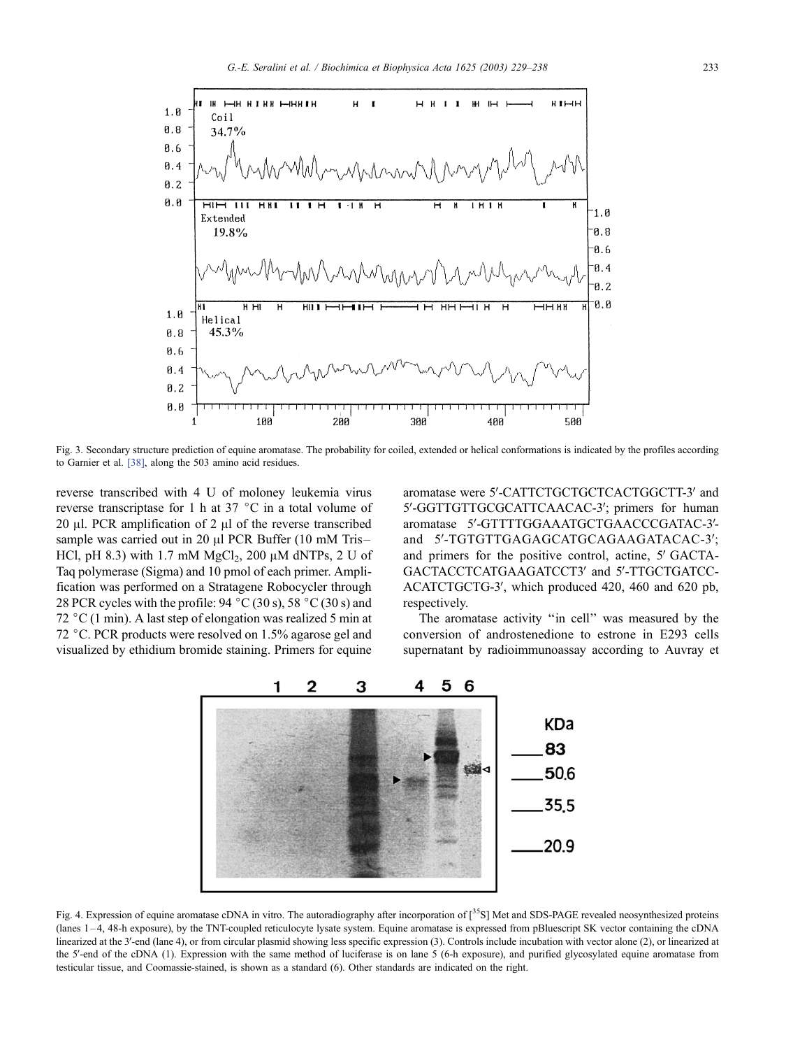<span id="page-4-0"></span>

Fig. 3. Secondary structure prediction of equine aromatase. The probability for coiled, extended or helical conformations is indicated by the profiles according to Garnier et al. [\[38\],](#page-9-0) along the 503 amino acid residues.

reverse transcribed with 4 U of moloney leukemia virus reverse transcriptase for 1 h at 37  $\degree$ C in a total volume of 20  $\mu$ l. PCR amplification of 2  $\mu$ l of the reverse transcribed sample was carried out in 20 µl PCR Buffer (10 mM Tris-HCl, pH 8.3) with 1.7 mM  $MgCl<sub>2</sub>$ , 200  $\mu$ M dNTPs, 2 U of Taq polymerase (Sigma) and 10 pmol of each primer. Amplification was performed on a Stratagene Robocycler through 28 PCR cycles with the profile: 94  $\degree$ C (30 s), 58  $\degree$ C (30 s) and 72 °C (1 min). A last step of elongation was realized 5 min at 72 °C. PCR products were resolved on  $1.5\%$  agarose gel and visualized by ethidium bromide staining. Primers for equine

aromatase were 5'-CATTCTGCTGCTCACTGGCTT-3' and 5'-GGTTGTTGCGCATTCAACAC-3'; primers for human aromatase 5'-GTTTTGGAAATGCTGAACCCGATAC-3'and 5'-TGTGTTGAGAGCATGCAGAAGATACAC-3'; and primers for the positive control, actine, 5' GACTA-GACTACCTCATGAAGATCCT3' and 5'-TTGCTGATCC-ACATCTGCTG-3', which produced 420, 460 and 620 pb, respectively.

The aromatase activity ''in cell'' was measured by the conversion of androstenedione to estrone in E293 cells supernatant by radioimmunoassay according to Auvray et



Fig. 4. Expression of equine aromatase cDNA in vitro. The autoradiography after incorporation of [<sup>35</sup>S] Met and SDS-PAGE revealed neosynthesized proteins (lanes 1 – 4, 48-h exposure), by the TNT-coupled reticulocyte lysate system. Equine aromatase is expressed from pBluescript SK vector containing the cDNA linearized at the 3V-end (lane 4), or from circular plasmid showing less specific expression (3). Controls include incubation with vector alone (2), or linearized at the 5V-end of the cDNA (1). Expression with the same method of luciferase is on lane 5 (6-h exposure), and purified glycosylated equine aromatase from testicular tissue, and Coomassie-stained, is shown as a standard (6). Other standards are indicated on the right.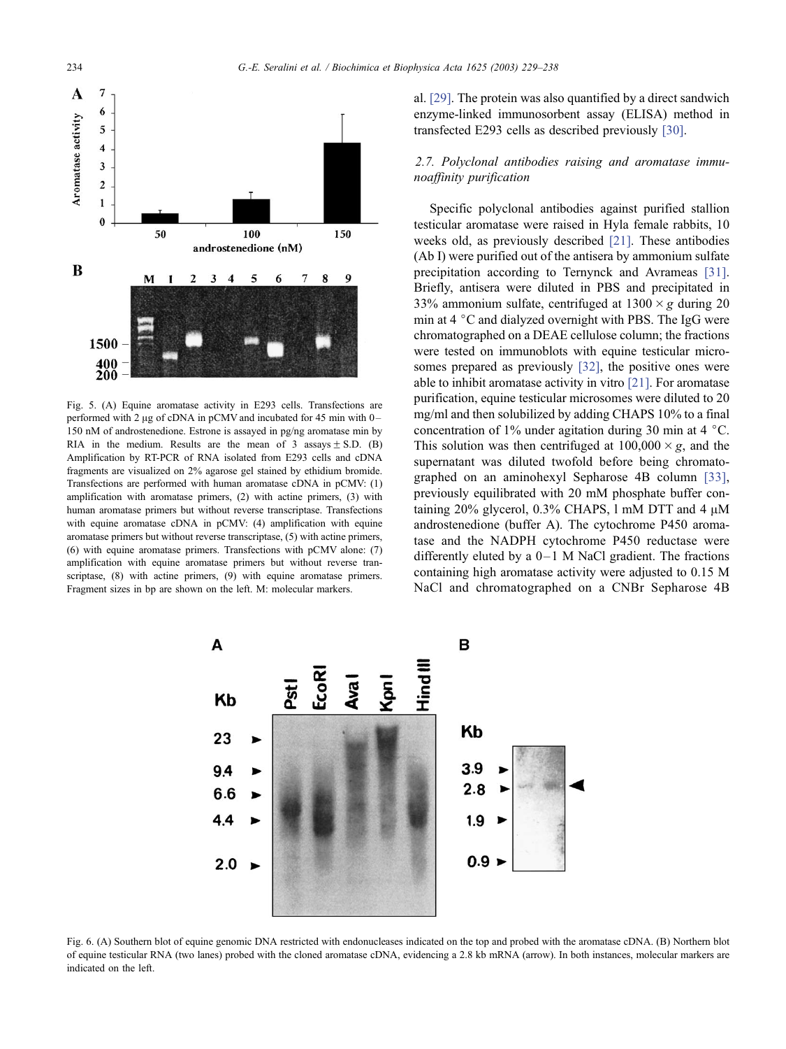<span id="page-5-0"></span>

Fig. 5. (A) Equine aromatase activity in E293 cells. Transfections are performed with 2  $\mu$ g of cDNA in pCMV and incubated for 45 min with 0 – 150 nM of androstenedione. Estrone is assayed in pg/ng aromatase min by RIA in the medium. Results are the mean of 3 assays  $\pm$  S.D. (B) Amplification by RT-PCR of RNA isolated from E293 cells and cDNA fragments are visualized on 2% agarose gel stained by ethidium bromide. Transfections are performed with human aromatase cDNA in pCMV: (1) amplification with aromatase primers, (2) with actine primers, (3) with human aromatase primers but without reverse transcriptase. Transfections with equine aromatase cDNA in pCMV: (4) amplification with equine aromatase primers but without reverse transcriptase, (5) with actine primers, (6) with equine aromatase primers. Transfections with pCMV alone: (7) amplification with equine aromatase primers but without reverse transcriptase, (8) with actine primers, (9) with equine aromatase primers. Fragment sizes in bp are shown on the left. M: molecular markers.

al. [\[29\].](#page-9-0) The protein was also quantified by a direct sandwich enzyme-linked immunosorbent assay (ELISA) method in transfected E293 cells as described previously [\[30\].](#page-9-0)

# 2.7. Polyclonal antibodies raising and aromatase immunoaffinity purification

Specific polyclonal antibodies against purified stallion testicular aromatase were raised in Hyla female rabbits, 10 weeks old, as previously described [\[21\].](#page-9-0) These antibodies (Ab I) were purified out of the antisera by ammonium sulfate precipitation according to Ternynck and Avrameas [\[31\].](#page-9-0) Briefly, antisera were diluted in PBS and precipitated in 33% ammonium sulfate, centrifuged at  $1300 \times g$  during 20 min at  $4 \degree$ C and dialyzed overnight with PBS. The IgG were chromatographed on a DEAE cellulose column; the fractions were tested on immunoblots with equine testicular micro-somes prepared as previously [\[32\],](#page-9-0) the positive ones were able to inhibit aromatase activity in vitro [\[21\].](#page-9-0) For aromatase purification, equine testicular microsomes were diluted to 20 mg/ml and then solubilized by adding CHAPS 10% to a final concentration of 1% under agitation during 30 min at 4  $^{\circ}$ C. This solution was then centrifuged at  $100,000 \times g$ , and the supernatant was diluted twofold before being chromatographed on an aminohexyl Sepharose 4B column [\[33\],](#page-9-0) previously equilibrated with 20 mM phosphate buffer containing 20% glycerol,  $0.3\%$  CHAPS, 1 mM DTT and 4  $\mu$ M androstenedione (buffer A). The cytochrome P450 aromatase and the NADPH cytochrome P450 reductase were differently eluted by a  $0-1$  M NaCl gradient. The fractions containing high aromatase activity were adjusted to 0.15 M NaCl and chromatographed on a CNBr Sepharose 4B



Fig. 6. (A) Southern blot of equine genomic DNA restricted with endonucleases indicated on the top and probed with the aromatase cDNA. (B) Northern blot of equine testicular RNA (two lanes) probed with the cloned aromatase cDNA, evidencing a 2.8 kb mRNA (arrow). In both instances, molecular markers are indicated on the left.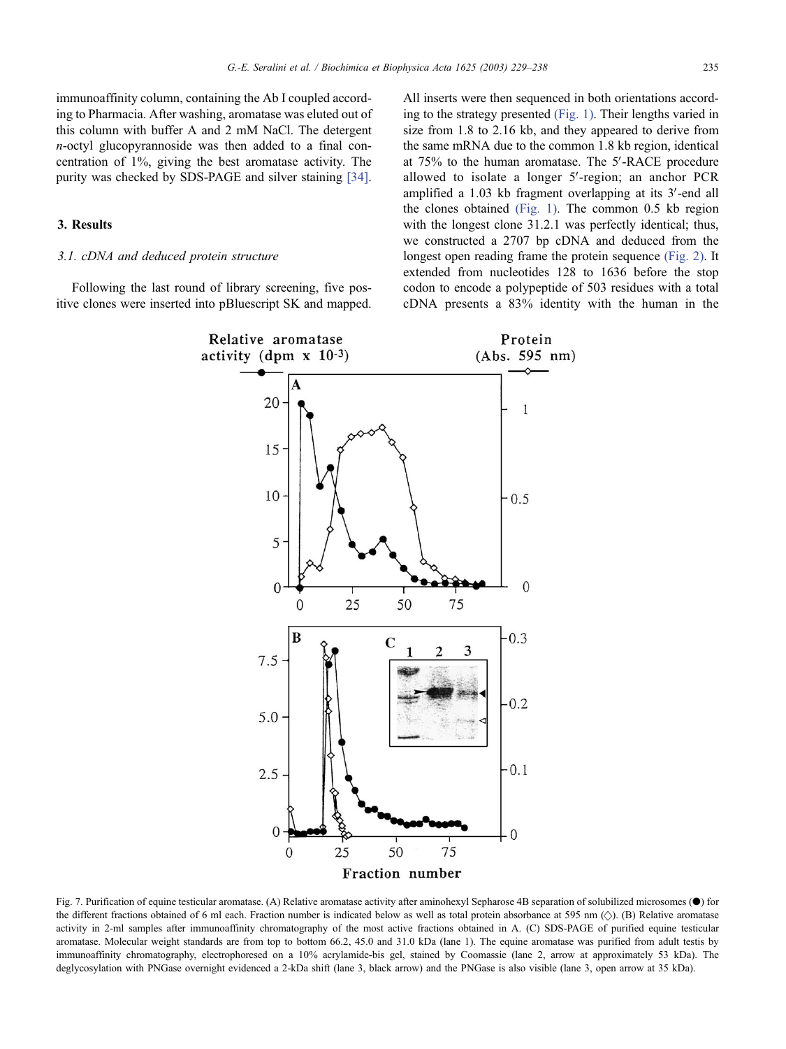<span id="page-6-0"></span>immunoaffinity column, containing the Ab I coupled according to Pharmacia. After washing, aromatase was eluted out of this column with buffer A and 2 mM NaCl. The detergent n-octyl glucopyrannoside was then added to a final concentration of 1%, giving the best aromatase activity. The purity was checked by SDS-PAGE and silver staining [\[34\].](#page-9-0)

# 3. Results

# 3.1. cDNA and deduced protein structure

Following the last round of library screening, five positive clones were inserted into pBluescript SK and mapped. All inserts were then sequenced in both orientations according to the strategy presented [\(Fig. 1\).](#page-1-0) Their lengths varied in size from 1.8 to 2.16 kb, and they appeared to derive from the same mRNA due to the common 1.8 kb region, identical at 75% to the human aromatase. The 5'-RACE procedure allowed to isolate a longer 5V-region; an anchor PCR amplified a  $1.03$  kb fragment overlapping at its  $3'$ -end all the clones obtained [\(Fig. 1\).](#page-1-0) The common 0.5 kb region with the longest clone 31.2.1 was perfectly identical; thus, we constructed a 2707 bp cDNA and deduced from the longest open reading frame the protein sequence [\(Fig. 2\).](#page-2-0) It extended from nucleotides 128 to 1636 before the stop codon to encode a polypeptide of 503 residues with a total cDNA presents a 83% identity with the human in the



Fig. 7. Purification of equine testicular aromatase. (A) Relative aromatase activity after aminohexyl Sepharose 4B separation of solubilized microsomes ( $\bullet$ ) for the different fractions obtained of 6 ml each. Fraction number is indicated below as well as total protein absorbance at 595 nm  $(\Diamond)$ . (B) Relative aromatase activity in 2-ml samples after immunoaffinity chromatography of the most active fractions obtained in A. (C) SDS-PAGE of purified equine testicular aromatase. Molecular weight standards are from top to bottom 66.2, 45.0 and 31.0 kDa (lane 1). The equine aromatase was purified from adult testis by immunoaffinity chromatography, electrophoresed on a 10% acrylamide-bis gel, stained by Coomassie (lane 2, arrow at approximately 53 kDa). The deglycosylation with PNGase overnight evidenced a 2-kDa shift (lane 3, black arrow) and the PNGase is also visible (lane 3, open arrow at 35 kDa).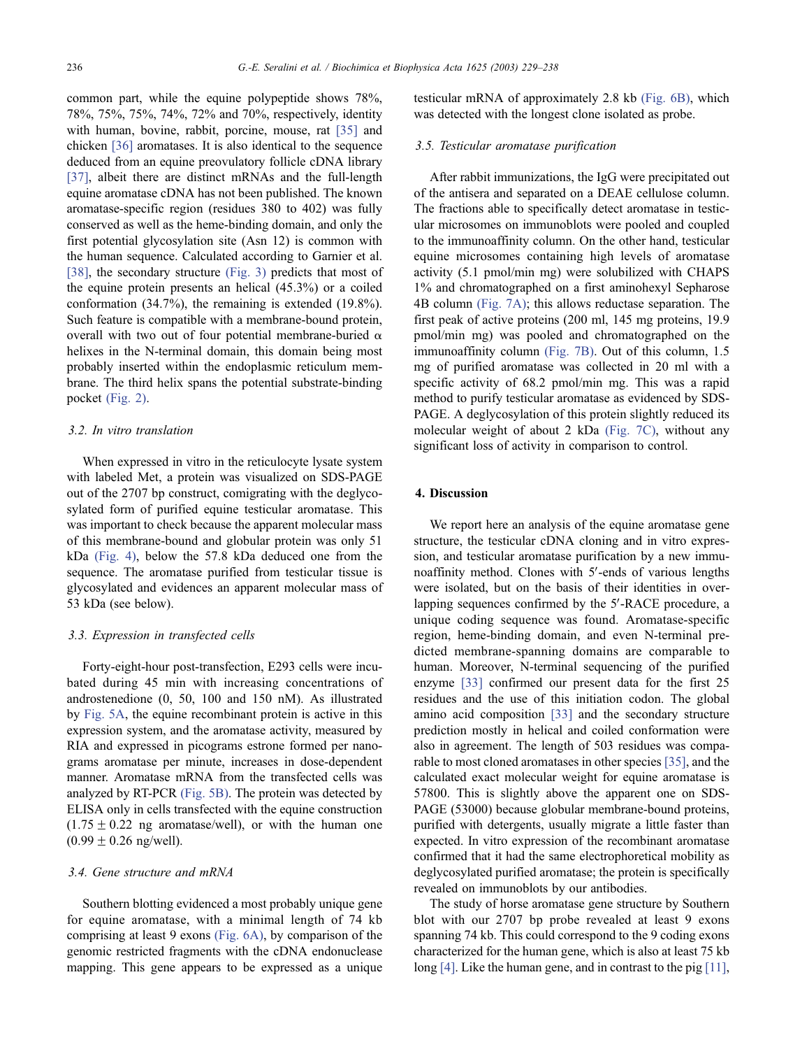common part, while the equine polypeptide shows 78%, 78%, 75%, 75%, 74%, 72% and 70%, respectively, identity with human, bovine, rabbit, porcine, mouse, rat [\[35\]](#page-9-0) and chicken [\[36\]](#page-9-0) aromatases. It is also identical to the sequence deduced from an equine preovulatory follicle cDNA library [\[37\]](#page-9-0), albeit there are distinct mRNAs and the full-length equine aromatase cDNA has not been published. The known aromatase-specific region (residues 380 to 402) was fully conserved as well as the heme-binding domain, and only the first potential glycosylation site (Asn 12) is common with the human sequence. Calculated according to Garnier et al. [\[38\]](#page-9-0), the secondary structure [\(Fig. 3\)](#page-4-0) predicts that most of the equine protein presents an helical (45.3%) or a coiled conformation (34.7%), the remaining is extended (19.8%). Such feature is compatible with a membrane-bound protein, overall with two out of four potential membrane-buried  $\alpha$ helixes in the N-terminal domain, this domain being most probably inserted within the endoplasmic reticulum membrane. The third helix spans the potential substrate-binding pocket [\(Fig. 2\).](#page-2-0)

# 3.2. In vitro translation

When expressed in vitro in the reticulocyte lysate system with labeled Met, a protein was visualized on SDS-PAGE out of the 2707 bp construct, comigrating with the deglycosylated form of purified equine testicular aromatase. This was important to check because the apparent molecular mass of this membrane-bound and globular protein was only 51 kDa [\(Fig. 4\),](#page-4-0) below the 57.8 kDa deduced one from the sequence. The aromatase purified from testicular tissue is glycosylated and evidences an apparent molecular mass of 53 kDa (see below).

## 3.3. Expression in transfected cells

Forty-eight-hour post-transfection, E293 cells were incubated during 45 min with increasing concentrations of androstenedione (0, 50, 100 and 150 nM). As illustrated by [Fig. 5A,](#page-5-0) the equine recombinant protein is active in this expression system, and the aromatase activity, measured by RIA and expressed in picograms estrone formed per nanograms aromatase per minute, increases in dose-dependent manner. Aromatase mRNA from the transfected cells was analyzed by RT-PCR [\(Fig. 5B\).](#page-5-0) The protein was detected by ELISA only in cells transfected with the equine construction  $(1.75 \pm 0.22$  ng aromatase/well), or with the human one  $(0.99 \pm 0.26$  ng/well).

## 3.4. Gene structure and mRNA

Southern blotting evidenced a most probably unique gene for equine aromatase, with a minimal length of 74 kb comprising at least 9 exons [\(Fig. 6A\),](#page-5-0) by comparison of the genomic restricted fragments with the cDNA endonuclease mapping. This gene appears to be expressed as a unique

testicular mRNA of approximately 2.8 kb [\(Fig. 6B\),](#page-5-0) which was detected with the longest clone isolated as probe.

## 3.5. Testicular aromatase purification

After rabbit immunizations, the IgG were precipitated out of the antisera and separated on a DEAE cellulose column. The fractions able to specifically detect aromatase in testicular microsomes on immunoblots were pooled and coupled to the immunoaffinity column. On the other hand, testicular equine microsomes containing high levels of aromatase activity (5.1 pmol/min mg) were solubilized with CHAPS 1% and chromatographed on a first aminohexyl Sepharose 4B column [\(Fig. 7A\);](#page-6-0) this allows reductase separation. The first peak of active proteins (200 ml, 145 mg proteins, 19.9 pmol/min mg) was pooled and chromatographed on the immunoaffinity column [\(Fig. 7B\).](#page-6-0) Out of this column, 1.5 mg of purified aromatase was collected in 20 ml with a specific activity of 68.2 pmol/min mg. This was a rapid method to purify testicular aromatase as evidenced by SDS-PAGE. A deglycosylation of this protein slightly reduced its molecular weight of about 2 kDa [\(Fig. 7C\),](#page-6-0) without any significant loss of activity in comparison to control.

## 4. Discussion

We report here an analysis of the equine aromatase gene structure, the testicular cDNA cloning and in vitro expression, and testicular aromatase purification by a new immunoaffinity method. Clones with 5'-ends of various lengths were isolated, but on the basis of their identities in overlapping sequences confirmed by the 5'-RACE procedure, a unique coding sequence was found. Aromatase-specific region, heme-binding domain, and even N-terminal predicted membrane-spanning domains are comparable to human. Moreover, N-terminal sequencing of the purified enzyme [\[33\]](#page-9-0) confirmed our present data for the first 25 residues and the use of this initiation codon. The global amino acid composition [\[33\]](#page-9-0) and the secondary structure prediction mostly in helical and coiled conformation were also in agreement. The length of 503 residues was comparable to most cloned aromatases in other species [\[35\],](#page-9-0) and the calculated exact molecular weight for equine aromatase is 57800. This is slightly above the apparent one on SDS-PAGE (53000) because globular membrane-bound proteins, purified with detergents, usually migrate a little faster than expected. In vitro expression of the recombinant aromatase confirmed that it had the same electrophoretical mobility as deglycosylated purified aromatase; the protein is specifically revealed on immunoblots by our antibodies.

The study of horse aromatase gene structure by Southern blot with our 2707 bp probe revealed at least 9 exons spanning 74 kb. This could correspond to the 9 coding exons characterized for the human gene, which is also at least 75 kb long [\[4\].](#page-8-0) Like the human gene, and in contrast to the pig [\[11\],](#page-8-0)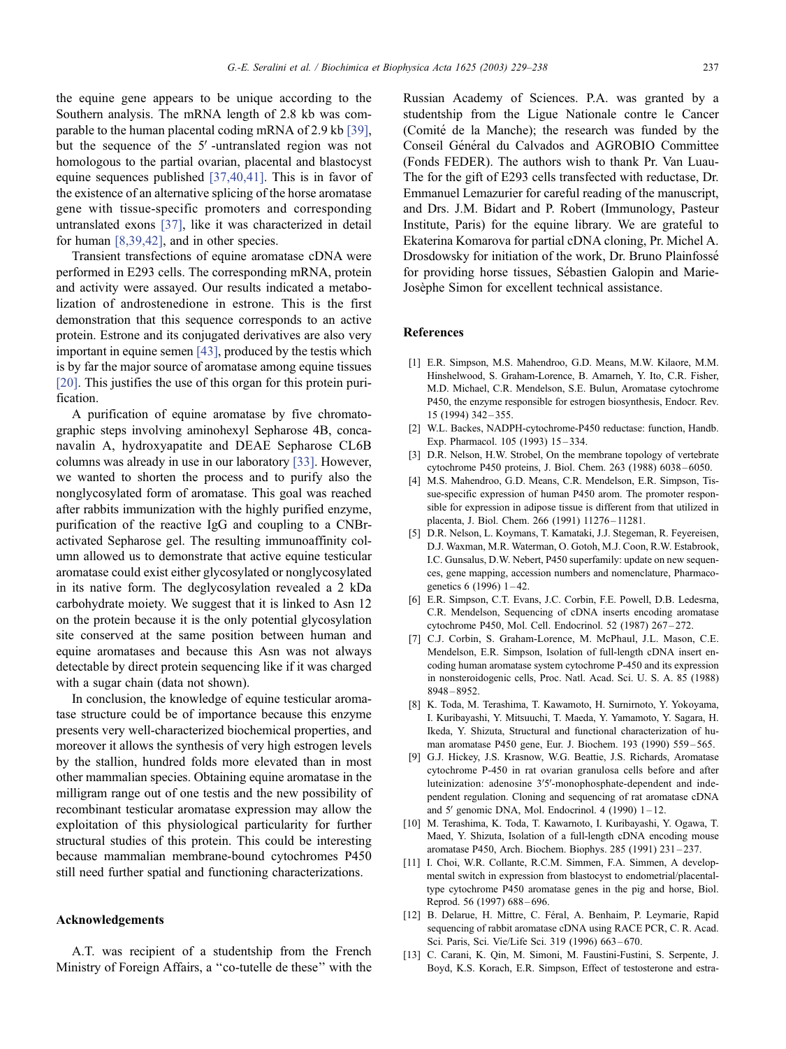<span id="page-8-0"></span>the equine gene appears to be unique according to the Southern analysis. The mRNA length of 2.8 kb was comparable to the human placental coding mRNA of 2.9 kb [\[39\],](#page-9-0) but the sequence of the  $5'$ -untranslated region was not homologous to the partial ovarian, placental and blastocyst equine sequences published [\[37,40,41\].](#page-9-0) This is in favor of the existence of an alternative splicing of the horse aromatase gene with tissue-specific promoters and corresponding untranslated exons [\[37\],](#page-9-0) like it was characterized in detail for human [8,39,42], and in other species.

Transient transfections of equine aromatase cDNA were performed in E293 cells. The corresponding mRNA, protein and activity were assayed. Our results indicated a metabolization of androstenedione in estrone. This is the first demonstration that this sequence corresponds to an active protein. Estrone and its conjugated derivatives are also very important in equine semen [\[43\],](#page-9-0) produced by the testis which is by far the major source of aromatase among equine tissues [\[20\].](#page-9-0) This justifies the use of this organ for this protein purification.

A purification of equine aromatase by five chromatographic steps involving aminohexyl Sepharose 4B, concanavalin A, hydroxyapatite and DEAE Sepharose CL6B columns was already in use in our laboratory [\[33\].](#page-9-0) However, we wanted to shorten the process and to purify also the nonglycosylated form of aromatase. This goal was reached after rabbits immunization with the highly purified enzyme, purification of the reactive IgG and coupling to a CNBractivated Sepharose gel. The resulting immunoaffinity column allowed us to demonstrate that active equine testicular aromatase could exist either glycosylated or nonglycosylated in its native form. The deglycosylation revealed a 2 kDa carbohydrate moiety. We suggest that it is linked to Asn 12 on the protein because it is the only potential glycosylation site conserved at the same position between human and equine aromatases and because this Asn was not always detectable by direct protein sequencing like if it was charged with a sugar chain (data not shown).

In conclusion, the knowledge of equine testicular aromatase structure could be of importance because this enzyme presents very well-characterized biochemical properties, and moreover it allows the synthesis of very high estrogen levels by the stallion, hundred folds more elevated than in most other mammalian species. Obtaining equine aromatase in the milligram range out of one testis and the new possibility of recombinant testicular aromatase expression may allow the exploitation of this physiological particularity for further structural studies of this protein. This could be interesting because mammalian membrane-bound cytochromes P450 still need further spatial and functioning characterizations.

# Acknowledgements

A.T. was recipient of a studentship from the French Ministry of Foreign Affairs, a ''co-tutelle de these'' with the Russian Academy of Sciences. P.A. was granted by a studentship from the Ligue Nationale contre le Cancer (Comité de la Manche); the research was funded by the Conseil Général du Calvados and AGROBIO Committee (Fonds FEDER). The authors wish to thank Pr. Van Luau-The for the gift of E293 cells transfected with reductase, Dr. Emmanuel Lemazurier for careful reading of the manuscript, and Drs. J.M. Bidart and P. Robert (Immunology, Pasteur Institute, Paris) for the equine library. We are grateful to Ekaterina Komarova for partial cDNA cloning, Pr. Michel A. Drosdowsky for initiation of the work, Dr. Bruno Plainfosse´ for providing horse tissues, Sébastien Galopin and Marie-Josèphe Simon for excellent technical assistance.

# References

- [1] E.R. Simpson, M.S. Mahendroo, G.D. Means, M.W. Kilaore, M.M. Hinshelwood, S. Graham-Lorence, B. Amarneh, Y. Ito, C.R. Fisher, M.D. Michael, C.R. Mendelson, S.E. Bulun, Aromatase cytochrome P450, the enzyme responsible for estrogen biosynthesis, Endocr. Rev. 15 (1994) 342 – 355.
- [2] W.L. Backes, NADPH-cytochrome-P450 reductase: function, Handb. Exp. Pharmacol. 105 (1993) 15-334.
- [3] D.R. Nelson, H.W. Strobel, On the membrane topology of vertebrate cytochrome P450 proteins, J. Biol. Chem. 263 (1988) 6038 – 6050.
- [4] M.S. Mahendroo, G.D. Means, C.R. Mendelson, E.R. Simpson, Tissue-specific expression of human P450 arom. The promoter responsible for expression in adipose tissue is different from that utilized in placenta, J. Biol. Chem. 266 (1991) 11276 – 11281.
- [5] D.R. Nelson, L. Koymans, T. Kamataki, J.J. Stegeman, R. Feyereisen, D.J. Waxman, M.R. Waterman, O. Gotoh, M.J. Coon, R.W. Estabrook, I.C. Gunsalus, D.W. Nebert, P450 superfamily: update on new sequences, gene mapping, accession numbers and nomenclature, Pharmacogenetics 6 (1996) 1-42.
- [6] E.R. Simpson, C.T. Evans, J.C. Corbin, F.E. Powell, D.B. Ledesrna, C.R. Mendelson, Sequencing of cDNA inserts encoding aromatase cytochrome P450, Mol. Cell. Endocrinol. 52 (1987) 267 – 272.
- [7] C.J. Corbin, S. Graham-Lorence, M. McPhaul, J.L. Mason, C.E. Mendelson, E.R. Simpson, Isolation of full-length cDNA insert encoding human aromatase system cytochrome P-450 and its expression in nonsteroidogenic cells, Proc. Natl. Acad. Sci. U. S. A. 85 (1988) 8948 – 8952.
- [8] K. Toda, M. Terashima, T. Kawamoto, H. Surnirnoto, Y. Yokoyama, I. Kuribayashi, Y. Mitsuuchi, T. Maeda, Y. Yamamoto, Y. Sagara, H. Ikeda, Y. Shizuta, Structural and functional characterization of human aromatase P450 gene, Eur. J. Biochem. 193 (1990) 559 – 565.
- [9] G.J. Hickey, J.S. Krasnow, W.G. Beattie, J.S. Richards, Aromatase cytochrome P-450 in rat ovarian granulosa cells before and after luteinization: adenosine 3'5'-monophosphate-dependent and independent regulation. Cloning and sequencing of rat aromatase cDNA and 5' genomic DNA, Mol. Endocrinol. 4 (1990)  $1-12$ .
- [10] M. Terashima, K. Toda, T. Kawarnoto, I. Kuribayashi, Y. Ogawa, T. Maed, Y. Shizuta, Isolation of a full-length cDNA encoding mouse aromatase P450, Arch. Biochem. Biophys. 285 (1991) 231 – 237.
- [11] I. Choi, W.R. Collante, R.C.M. Simmen, F.A. Simmen, A developmental switch in expression from blastocyst to endometrial/placentaltype cytochrome P450 aromatase genes in the pig and horse, Biol. Reprod. 56 (1997) 688 – 696.
- [12] B. Delarue, H. Mittre, C. Féral, A. Benhaim, P. Leymarie, Rapid sequencing of rabbit aromatase cDNA using RACE PCR, C. R. Acad. Sci. Paris, Sci. Vie/Life Sci. 319 (1996) 663 – 670.
- [13] C. Carani, K. Oin, M. Simoni, M. Faustini-Fustini, S. Serpente, J. Boyd, K.S. Korach, E.R. Simpson, Effect of testosterone and estra-